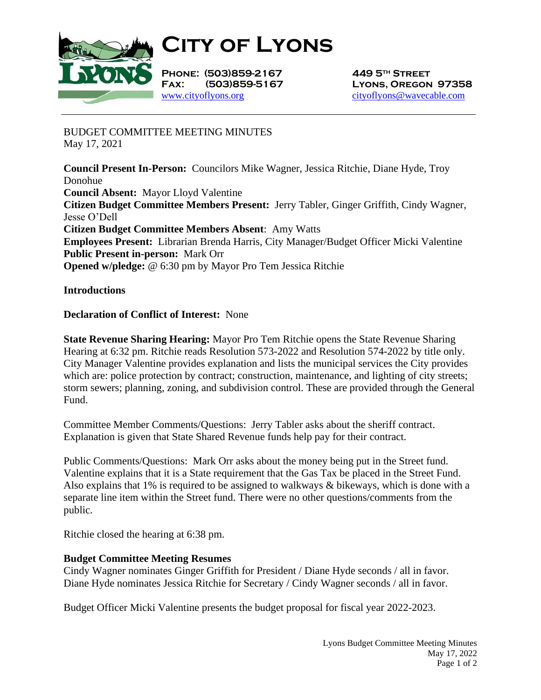

**City of Lyons**

**Phone: (503)859-2167 449 5th Street** [www.cityoflyons.org](http://www.cityoflyons.org/) [cityoflyons@wavecable.com](mailto:cityoflyons@wavecable.com)

**Fax: (503)859-5167 Lyons, Oregon 97358**

BUDGET COMMITTEE MEETING MINUTES May 17, 2021

**Council Present In-Person:** Councilors Mike Wagner, Jessica Ritchie, Diane Hyde, Troy Donohue **Council Absent:** Mayor Lloyd Valentine **Citizen Budget Committee Members Present:** Jerry Tabler, Ginger Griffith, Cindy Wagner, Jesse O'Dell **Citizen Budget Committee Members Absent**: Amy Watts **Employees Present:** Librarian Brenda Harris, City Manager/Budget Officer Micki Valentine **Public Present in-person:** Mark Orr **Opened w/pledge:** @ 6:30 pm by Mayor Pro Tem Jessica Ritchie

**Introductions**

## **Declaration of Conflict of Interest:** None

**State Revenue Sharing Hearing:** Mayor Pro Tem Ritchie opens the State Revenue Sharing Hearing at 6:32 pm. Ritchie reads Resolution 573-2022 and Resolution 574-2022 by title only. City Manager Valentine provides explanation and lists the municipal services the City provides which are: police protection by contract; construction, maintenance, and lighting of city streets; storm sewers; planning, zoning, and subdivision control. These are provided through the General Fund.

Committee Member Comments/Questions: Jerry Tabler asks about the sheriff contract. Explanation is given that State Shared Revenue funds help pay for their contract.

Public Comments/Questions: Mark Orr asks about the money being put in the Street fund. Valentine explains that it is a State requirement that the Gas Tax be placed in the Street Fund. Also explains that 1% is required to be assigned to walkways & bikeways, which is done with a separate line item within the Street fund. There were no other questions/comments from the public.

Ritchie closed the hearing at 6:38 pm.

## **Budget Committee Meeting Resumes**

Cindy Wagner nominates Ginger Griffith for President / Diane Hyde seconds / all in favor. Diane Hyde nominates Jessica Ritchie for Secretary / Cindy Wagner seconds / all in favor.

Budget Officer Micki Valentine presents the budget proposal for fiscal year 2022-2023.